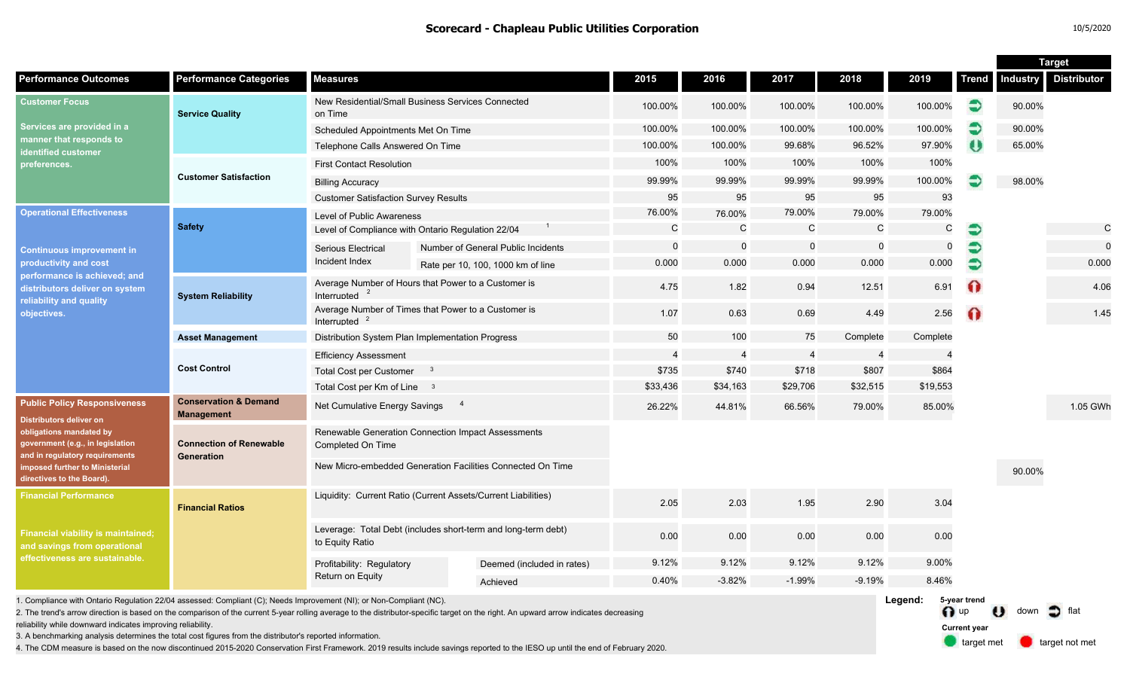|                                                                                                                                                                                                                                       |                                                       |                                                                                  |  |                                    |                |                         |                |          |                          | <b>Target</b> |                 |                    |
|---------------------------------------------------------------------------------------------------------------------------------------------------------------------------------------------------------------------------------------|-------------------------------------------------------|----------------------------------------------------------------------------------|--|------------------------------------|----------------|-------------------------|----------------|----------|--------------------------|---------------|-----------------|--------------------|
| <b>Performance Outcomes</b>                                                                                                                                                                                                           | <b>Performance Categories</b>                         | <b>Measures</b>                                                                  |  |                                    | 2015           | 2016                    | 2017           | 2018     | 2019                     | <b>Trend</b>  | <b>Industry</b> | <b>Distributor</b> |
| <b>Customer Focus</b><br>Services are provided in a<br>manner that responds to<br>identified customer<br>preferences.                                                                                                                 | <b>Service Quality</b>                                | New Residential/Small Business Services Connected<br>on Time                     |  | 100.00%                            | 100.00%        | 100.00%                 | 100.00%        | 100.00%  | €                        | 90.00%        |                 |                    |
|                                                                                                                                                                                                                                       |                                                       | Scheduled Appointments Met On Time                                               |  |                                    | 100.00%        | 100.00%                 | 100.00%        | 100.00%  | 100.00%                  | €             | 90.00%          |                    |
|                                                                                                                                                                                                                                       |                                                       | Telephone Calls Answered On Time                                                 |  |                                    | 100.00%        | 100.00%                 | 99.68%         | 96.52%   | 97.90%                   | $\bullet$     | 65.00%          |                    |
|                                                                                                                                                                                                                                       |                                                       | <b>First Contact Resolution</b>                                                  |  |                                    | 100%           | 100%                    | 100%           | 100%     | 100%                     |               |                 |                    |
|                                                                                                                                                                                                                                       | <b>Customer Satisfaction</b>                          | <b>Billing Accuracy</b>                                                          |  |                                    | 99.99%         | 99.99%                  | 99.99%         | 99.99%   | 100.00%                  |               | 98.00%          |                    |
|                                                                                                                                                                                                                                       |                                                       | <b>Customer Satisfaction Survey Results</b>                                      |  | 95                                 | 95             | 95                      | 95             | 93       |                          |               |                 |                    |
| <b>Operational Effectiveness</b><br><b>Continuous improvement in</b><br>productivity and cost<br>performance is achieved; and<br>distributors deliver on system<br>reliability and quality<br>objectives.                             | <b>Safety</b>                                         | Level of Public Awareness                                                        |  |                                    | 76.00%         | 76.00%                  | 79.00%         | 79.00%   | 79.00%                   |               |                 |                    |
|                                                                                                                                                                                                                                       |                                                       | Level of Compliance with Ontario Regulation 22/04                                |  | C                                  | $\mathcal{C}$  | C                       | $\mathsf C$    | C        | €                        |               | C               |                    |
|                                                                                                                                                                                                                                       |                                                       | <b>Serious Electrical</b>                                                        |  | Number of General Public Incidents | 0              | $\mathbf 0$<br>$\Omega$ | $\mathbf 0$    | $\Omega$ | €                        |               |                 |                    |
|                                                                                                                                                                                                                                       |                                                       | Incident Index                                                                   |  | Rate per 10, 100, 1000 km of line  | 0.000          | 0.000                   | 0.000          | 0.000    | 0.000                    |               |                 | 0.000              |
|                                                                                                                                                                                                                                       | <b>System Reliability</b>                             | Average Number of Hours that Power to a Customer is<br>Interrupted               |  |                                    | 4.75           | 1.82                    | 0.94           | 12.51    | 6.91                     | $\Omega$      |                 | 4.06               |
|                                                                                                                                                                                                                                       |                                                       | Average Number of Times that Power to a Customer is<br>Interrupted <sup>2</sup>  |  | 1.07                               | 0.63           | 0.69                    | 4.49           | 2.56     | $\Omega$                 |               | 1.45            |                    |
|                                                                                                                                                                                                                                       | <b>Asset Management</b>                               | Distribution System Plan Implementation Progress                                 |  |                                    | 50             | 100                     | 75             | Complete | Complete                 |               |                 |                    |
|                                                                                                                                                                                                                                       |                                                       | <b>Efficiency Assessment</b>                                                     |  |                                    | $\overline{4}$ | $\overline{4}$          | $\overline{4}$ | 4        | $\overline{\phantom{a}}$ |               |                 |                    |
|                                                                                                                                                                                                                                       | <b>Cost Control</b>                                   | <b>Total Cost per Customer</b><br>$\mathbf{3}$                                   |  |                                    | \$735          | \$740                   | \$718          | \$807    | \$864                    |               |                 |                    |
|                                                                                                                                                                                                                                       |                                                       | Total Cost per Km of Line 3                                                      |  |                                    | \$33,436       | \$34,163                | \$29,706       | \$32,515 | \$19,553                 |               |                 |                    |
| <b>Public Policy Responsiveness</b><br><b>Distributors deliver on</b><br>obligations mandated by<br>government (e.g., in legislation<br>and in regulatory requirements<br>imposed further to Ministerial<br>directives to the Board). | <b>Conservation &amp; Demand</b><br><b>Management</b> | $\overline{4}$<br>Net Cumulative Energy Savings                                  |  |                                    | 26.22%         | 44.81%                  | 66.56%         | 79.00%   | 85.00%                   |               |                 | 1.05 GWh           |
|                                                                                                                                                                                                                                       | <b>Connection of Renewable</b><br>Generation          | Renewable Generation Connection Impact Assessments<br>Completed On Time          |  |                                    |                |                         |                |          |                          |               |                 |                    |
|                                                                                                                                                                                                                                       |                                                       | New Micro-embedded Generation Facilities Connected On Time                       |  |                                    |                |                         |                |          |                          |               | 90.00%          |                    |
| <b>Financial Performance</b><br><b>Financial viability is maintained;</b><br>and savings from operational<br>effectiveness are sustainable.                                                                                           | <b>Financial Ratios</b>                               | Liquidity: Current Ratio (Current Assets/Current Liabilities)                    |  |                                    | 2.05           | 2.03                    | 1.95           | 2.90     | 3.04                     |               |                 |                    |
|                                                                                                                                                                                                                                       |                                                       | Leverage: Total Debt (includes short-term and long-term debt)<br>to Equity Ratio |  |                                    | 0.00           | 0.00                    | 0.00           | 0.00     | 0.00                     |               |                 |                    |
|                                                                                                                                                                                                                                       |                                                       | Profitability: Regulatory<br>Return on Equity                                    |  | Deemed (included in rates)         | 9.12%          | 9.12%                   | 9.12%          | 9.12%    | 9.00%                    |               |                 |                    |
|                                                                                                                                                                                                                                       |                                                       |                                                                                  |  | Achieved                           | 0.40%          | $-3.82%$                | $-1.99%$       | $-9.19%$ | 8.46%                    |               |                 |                    |
| I. Compliance with Ontario Regulation 22/04 assessed: Compliant (C); Needs Improvement (NI); or Non-Compliant (NC).                                                                                                                   |                                                       |                                                                                  |  |                                    |                |                         |                |          | Legend:                  | 5-year trend  |                 |                    |

1. Compliance with Ontario Regulation 22/04 assessed: Compliant (C); Needs Improvement (NI); or Non-Compliant (NC).

2. The trend's arrow direction is based on the comparison of the current 5-year rolling average to the distributor-specific target on the right. An upward arrow indicates decreasing

reliability while downward indicates improving reliability.

3. A benchmarking analysis determines the total cost figures from the distributor's reported information.

4. The CDM measure is based on the now discontinued 2015-2020 Conservation First Framework. 2019 results include savings reported to the IESO up until the end of February 2020.

n up U down of flat target met **target not met Current year**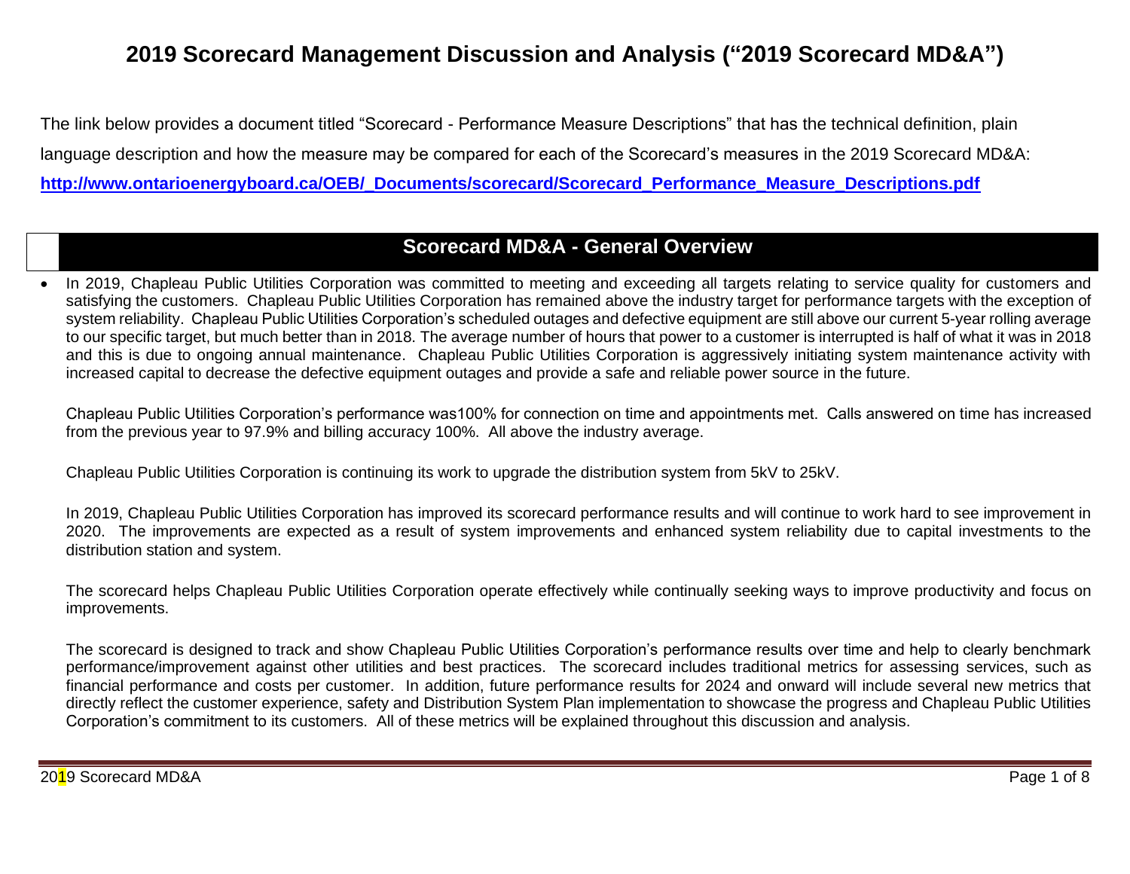# **2019 Scorecard Management Discussion and Analysis ("2019 Scorecard MD&A")**

The link below provides a document titled "Scorecard - Performance Measure Descriptions" that has the technical definition, plain language description and how the measure may be compared for each of the Scorecard's measures in the 2019 Scorecard MD&A: **[http://www.ontarioenergyboard.ca/OEB/\\_Documents/scorecard/Scorecard\\_Performance\\_Measure\\_Descriptions.pdf](http://www.ontarioenergyboard.ca/OEB/_Documents/scorecard/Scorecard_Performance_Measure_Descriptions.pdf)**

## **Scorecard MD&A - General Overview**

• In 2019, Chapleau Public Utilities Corporation was committed to meeting and exceeding all targets relating to service quality for customers and satisfying the customers. Chapleau Public Utilities Corporation has remained above the industry target for performance targets with the exception of system reliability. Chapleau Public Utilities Corporation's scheduled outages and defective equipment are still above our current 5-year rolling average to our specific target, but much better than in 2018. The average number of hours that power to a customer is interrupted is half of what it was in 2018 and this is due to ongoing annual maintenance. Chapleau Public Utilities Corporation is aggressively initiating system maintenance activity with increased capital to decrease the defective equipment outages and provide a safe and reliable power source in the future.

Chapleau Public Utilities Corporation's performance was100% for connection on time and appointments met. Calls answered on time has increased from the previous year to 97.9% and billing accuracy 100%. All above the industry average.

Chapleau Public Utilities Corporation is continuing its work to upgrade the distribution system from 5kV to 25kV.

In 2019, Chapleau Public Utilities Corporation has improved its scorecard performance results and will continue to work hard to see improvement in 2020. The improvements are expected as a result of system improvements and enhanced system reliability due to capital investments to the distribution station and system.

The scorecard helps Chapleau Public Utilities Corporation operate effectively while continually seeking ways to improve productivity and focus on improvements.

The scorecard is designed to track and show Chapleau Public Utilities Corporation's performance results over time and help to clearly benchmark performance/improvement against other utilities and best practices. The scorecard includes traditional metrics for assessing services, such as financial performance and costs per customer. In addition, future performance results for 2024 and onward will include several new metrics that directly reflect the customer experience, safety and Distribution System Plan implementation to showcase the progress and Chapleau Public Utilities Corporation's commitment to its customers. All of these metrics will be explained throughout this discussion and analysis.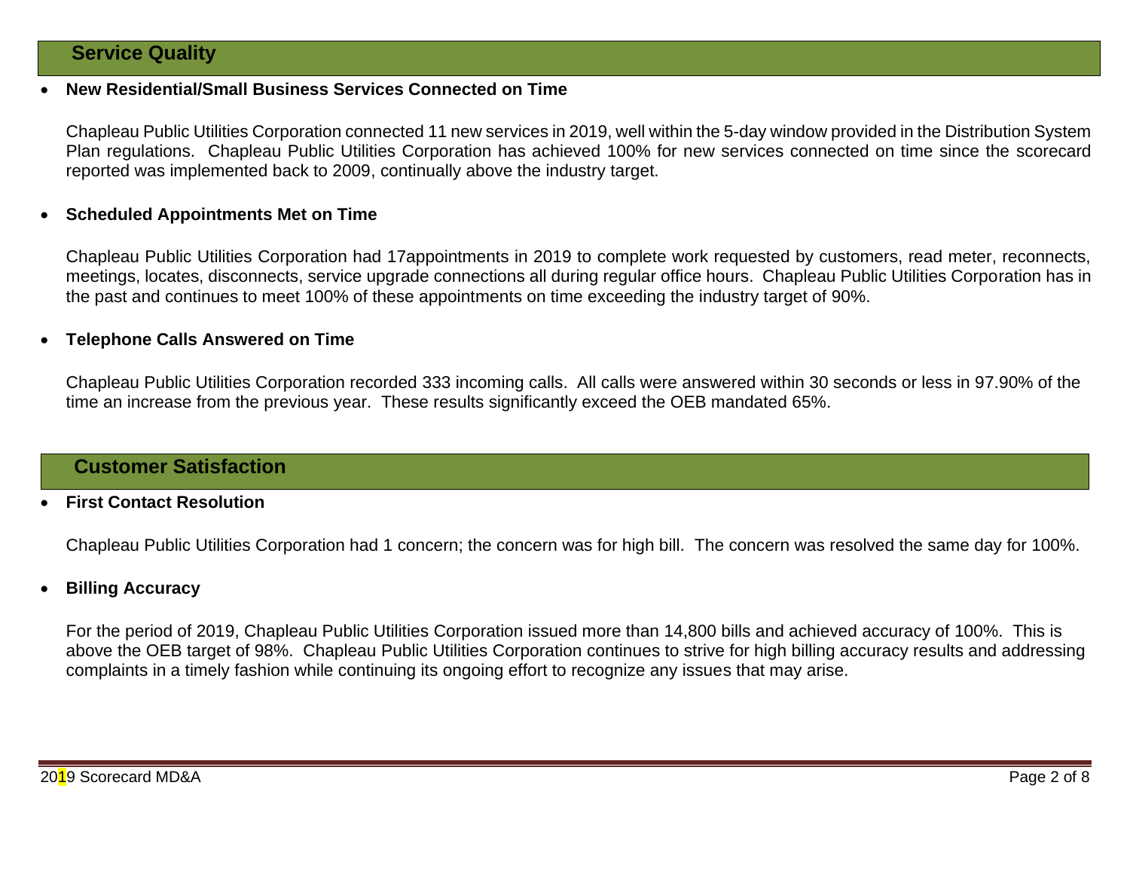## **Service Quality**

#### • **New Residential/Small Business Services Connected on Time**

Chapleau Public Utilities Corporation connected 11 new services in 2019, well within the 5-day window provided in the Distribution System Plan regulations. Chapleau Public Utilities Corporation has achieved 100% for new services connected on time since the scorecard reported was implemented back to 2009, continually above the industry target.

#### • **Scheduled Appointments Met on Time**

Chapleau Public Utilities Corporation had 17appointments in 2019 to complete work requested by customers, read meter, reconnects, meetings, locates, disconnects, service upgrade connections all during regular office hours. Chapleau Public Utilities Corporation has in the past and continues to meet 100% of these appointments on time exceeding the industry target of 90%.

#### • **Telephone Calls Answered on Time**

Chapleau Public Utilities Corporation recorded 333 incoming calls. All calls were answered within 30 seconds or less in 97.90% of the time an increase from the previous year. These results significantly exceed the OEB mandated 65%.

## **Customer Satisfaction**

#### • **First Contact Resolution**

Chapleau Public Utilities Corporation had 1 concern; the concern was for high bill. The concern was resolved the same day for 100%.

#### • **Billing Accuracy**

For the period of 2019, Chapleau Public Utilities Corporation issued more than 14,800 bills and achieved accuracy of 100%. This is above the OEB target of 98%. Chapleau Public Utilities Corporation continues to strive for high billing accuracy results and addressing complaints in a timely fashion while continuing its ongoing effort to recognize any issues that may arise.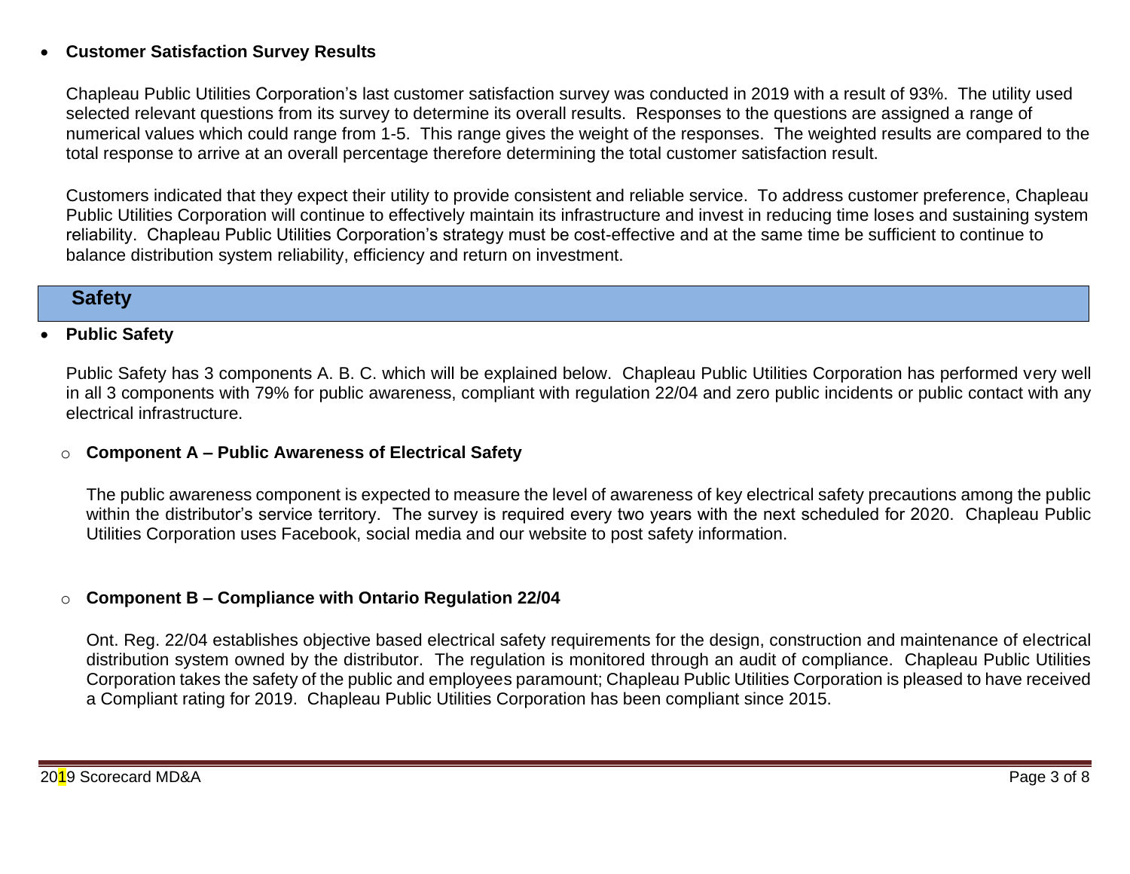## • **Customer Satisfaction Survey Results**

Chapleau Public Utilities Corporation's last customer satisfaction survey was conducted in 2019 with a result of 93%. The utility used selected relevant questions from its survey to determine its overall results. Responses to the questions are assigned a range of numerical values which could range from 1-5. This range gives the weight of the responses. The weighted results are compared to the total response to arrive at an overall percentage therefore determining the total customer satisfaction result.

Customers indicated that they expect their utility to provide consistent and reliable service. To address customer preference, Chapleau Public Utilities Corporation will continue to effectively maintain its infrastructure and invest in reducing time loses and sustaining system reliability. Chapleau Public Utilities Corporation's strategy must be cost-effective and at the same time be sufficient to continue to balance distribution system reliability, efficiency and return on investment.

## **Safety**

#### • **Public Safety**

Public Safety has 3 components A. B. C. which will be explained below. Chapleau Public Utilities Corporation has performed very well in all 3 components with 79% for public awareness, compliant with regulation 22/04 and zero public incidents or public contact with any electrical infrastructure.

## o **Component A – Public Awareness of Electrical Safety**

The public awareness component is expected to measure the level of awareness of key electrical safety precautions among the public within the distributor's service territory. The survey is required every two years with the next scheduled for 2020. Chapleau Public Utilities Corporation uses Facebook, social media and our website to post safety information.

## o **Component B – Compliance with Ontario Regulation 22/04**

Ont. Reg. 22/04 establishes objective based electrical safety requirements for the design, construction and maintenance of electrical distribution system owned by the distributor. The regulation is monitored through an audit of compliance. Chapleau Public Utilities Corporation takes the safety of the public and employees paramount; Chapleau Public Utilities Corporation is pleased to have received a Compliant rating for 2019. Chapleau Public Utilities Corporation has been compliant since 2015.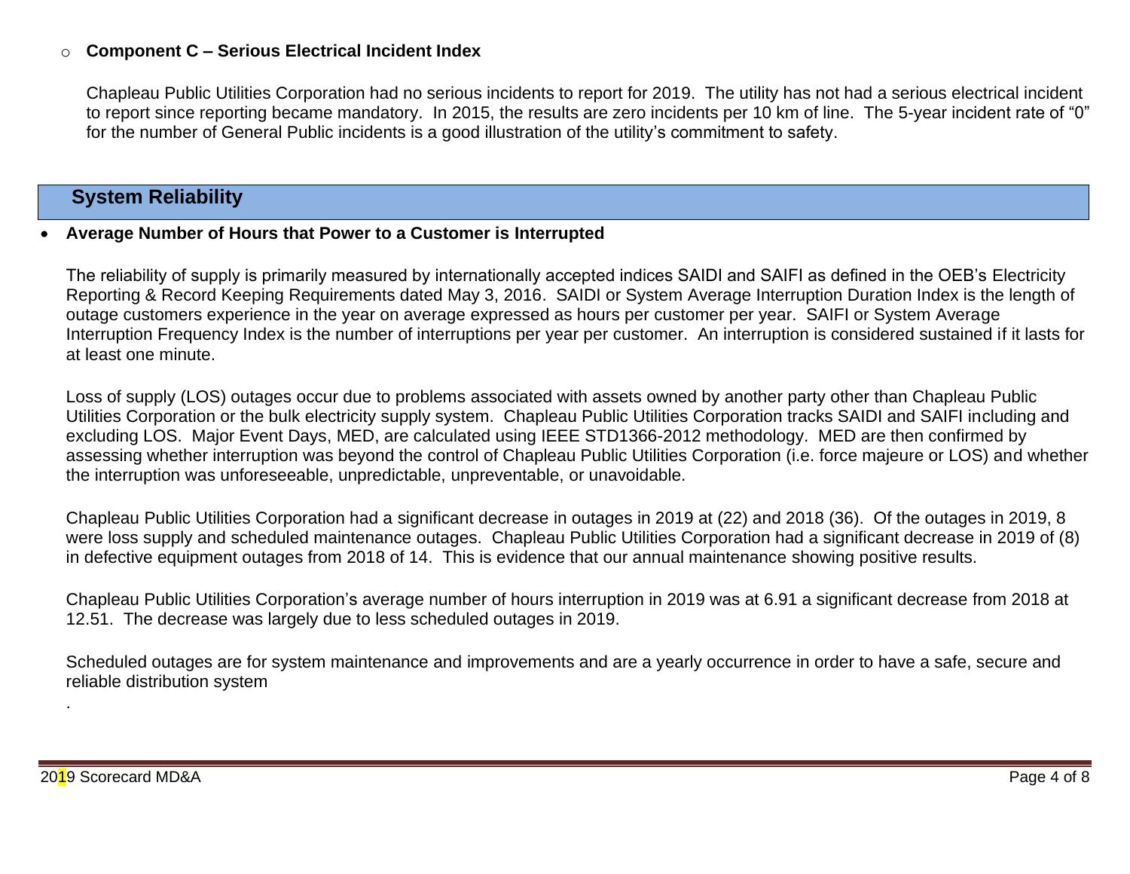### o **Component C – Serious Electrical Incident Index**

Chapleau Public Utilities Corporation had no serious incidents to report for 2019. The utility has not had a serious electrical incident to report since reporting became mandatory. In 2015, the results are zero incidents per 10 km of line. The 5-year incident rate of "0" for the number of General Public incidents is a good illustration of the utility's commitment to safety.

## **System Reliability**

#### • **Average Number of Hours that Power to a Customer is Interrupted**

The reliability of supply is primarily measured by internationally accepted indices SAIDI and SAIFI as defined in the OEB's Electricity Reporting & Record Keeping Requirements dated May 3, 2016. SAIDI or System Average Interruption Duration Index is the length of outage customers experience in the year on average expressed as hours per customer per year. SAIFI or System Average Interruption Frequency Index is the number of interruptions per year per customer. An interruption is considered sustained if it lasts for at least one minute.

Loss of supply (LOS) outages occur due to problems associated with assets owned by another party other than Chapleau Public Utilities Corporation or the bulk electricity supply system. Chapleau Public Utilities Corporation tracks SAIDI and SAIFI including and excluding LOS. Major Event Days, MED, are calculated using IEEE STD1366-2012 methodology. MED are then confirmed by assessing whether interruption was beyond the control of Chapleau Public Utilities Corporation (i.e. force majeure or LOS) and whether the interruption was unforeseeable, unpredictable, unpreventable, or unavoidable.

Chapleau Public Utilities Corporation had a significant decrease in outages in 2019 at (22) and 2018 (36). Of the outages in 2019, 8 were loss supply and scheduled maintenance outages. Chapleau Public Utilities Corporation had a significant decrease in 2019 of (8) in defective equipment outages from 2018 of 14. This is evidence that our annual maintenance showing positive results.

Chapleau Public Utilities Corporation's average number of hours interruption in 2019 was at 6.91 a significant decrease from 2018 at 12.51. The decrease was largely due to less scheduled outages in 2019.

Scheduled outages are for system maintenance and improvements and are a yearly occurrence in order to have a safe, secure and reliable distribution system

.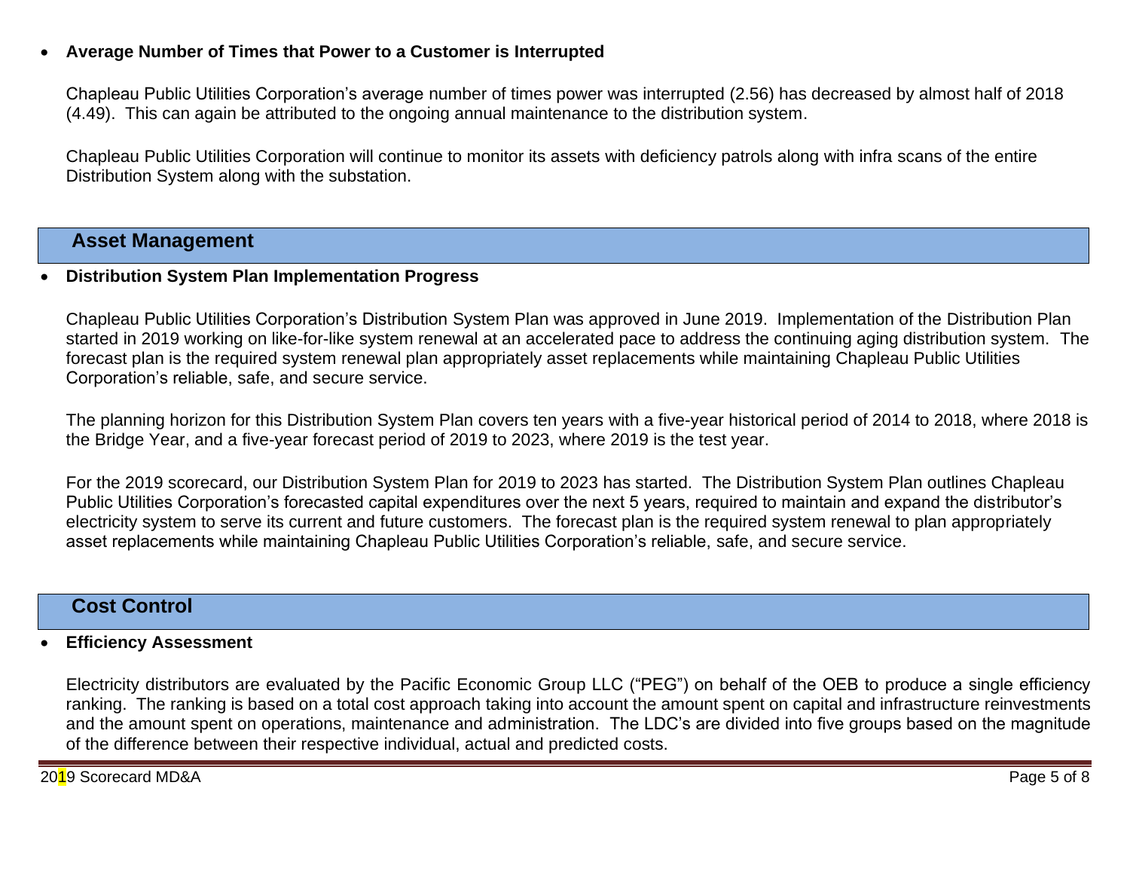## • **Average Number of Times that Power to a Customer is Interrupted**

Chapleau Public Utilities Corporation's average number of times power was interrupted (2.56) has decreased by almost half of 2018 (4.49). This can again be attributed to the ongoing annual maintenance to the distribution system.

Chapleau Public Utilities Corporation will continue to monitor its assets with deficiency patrols along with infra scans of the entire Distribution System along with the substation.

## **Asset Management**

#### • **Distribution System Plan Implementation Progress**

Chapleau Public Utilities Corporation's Distribution System Plan was approved in June 2019. Implementation of the Distribution Plan started in 2019 working on like-for-like system renewal at an accelerated pace to address the continuing aging distribution system. The forecast plan is the required system renewal plan appropriately asset replacements while maintaining Chapleau Public Utilities Corporation's reliable, safe, and secure service.

The planning horizon for this Distribution System Plan covers ten years with a five-year historical period of 2014 to 2018, where 2018 is the Bridge Year, and a five-year forecast period of 2019 to 2023, where 2019 is the test year.

For the 2019 scorecard, our Distribution System Plan for 2019 to 2023 has started. The Distribution System Plan outlines Chapleau Public Utilities Corporation's forecasted capital expenditures over the next 5 years, required to maintain and expand the distributor's electricity system to serve its current and future customers. The forecast plan is the required system renewal to plan appropriately asset replacements while maintaining Chapleau Public Utilities Corporation's reliable, safe, and secure service.

## **Cost Control**

#### • **Efficiency Assessment**

Electricity distributors are evaluated by the Pacific Economic Group LLC ("PEG") on behalf of the OEB to produce a single efficiency ranking. The ranking is based on a total cost approach taking into account the amount spent on capital and infrastructure reinvestments and the amount spent on operations, maintenance and administration. The LDC's are divided into five groups based on the magnitude of the difference between their respective individual, actual and predicted costs.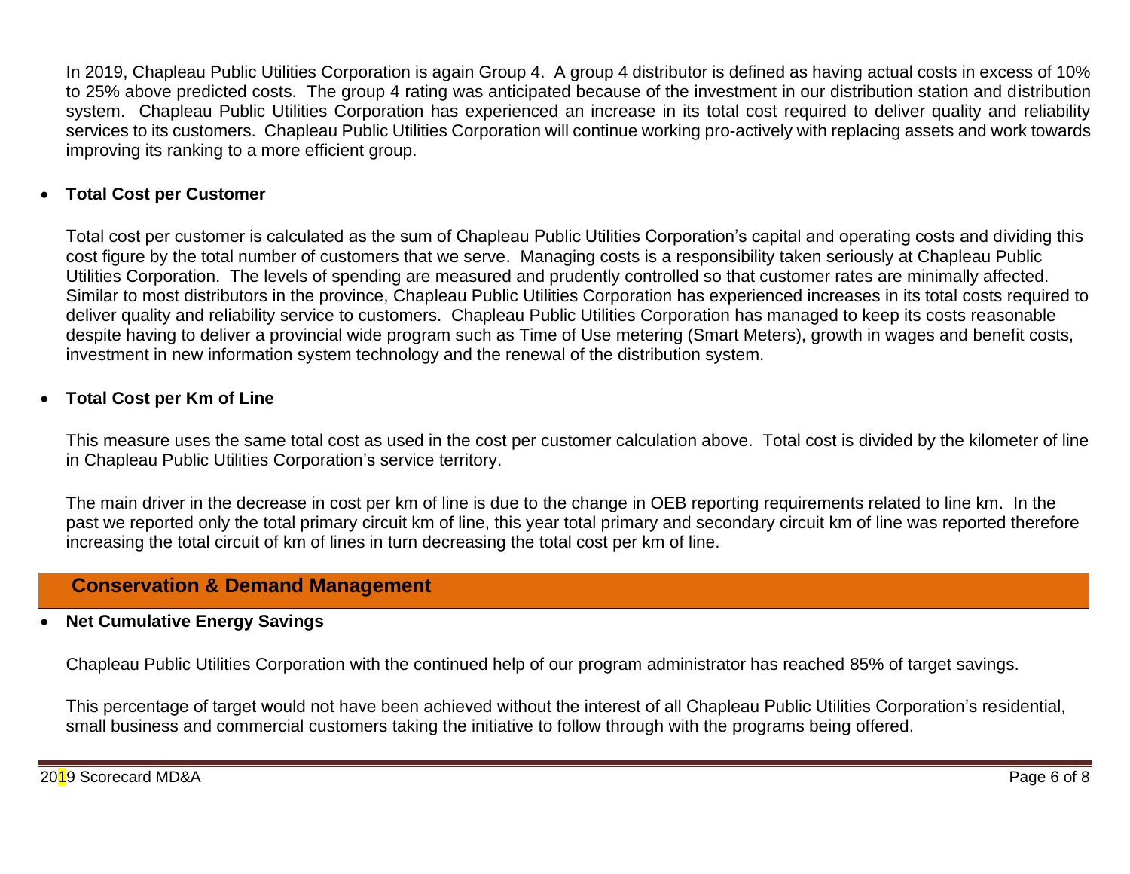In 2019, Chapleau Public Utilities Corporation is again Group 4. A group 4 distributor is defined as having actual costs in excess of 10% to 25% above predicted costs. The group 4 rating was anticipated because of the investment in our distribution station and distribution system. Chapleau Public Utilities Corporation has experienced an increase in its total cost required to deliver quality and reliability services to its customers. Chapleau Public Utilities Corporation will continue working pro-actively with replacing assets and work towards improving its ranking to a more efficient group.

### • **Total Cost per Customer**

Total cost per customer is calculated as the sum of Chapleau Public Utilities Corporation's capital and operating costs and dividing this cost figure by the total number of customers that we serve. Managing costs is a responsibility taken seriously at Chapleau Public Utilities Corporation. The levels of spending are measured and prudently controlled so that customer rates are minimally affected. Similar to most distributors in the province, Chapleau Public Utilities Corporation has experienced increases in its total costs required to deliver quality and reliability service to customers. Chapleau Public Utilities Corporation has managed to keep its costs reasonable despite having to deliver a provincial wide program such as Time of Use metering (Smart Meters), growth in wages and benefit costs, investment in new information system technology and the renewal of the distribution system.

## • **Total Cost per Km of Line**

This measure uses the same total cost as used in the cost per customer calculation above. Total cost is divided by the kilometer of line in Chapleau Public Utilities Corporation's service territory.

The main driver in the decrease in cost per km of line is due to the change in OEB reporting requirements related to line km. In the past we reported only the total primary circuit km of line, this year total primary and secondary circuit km of line was reported therefore increasing the total circuit of km of lines in turn decreasing the total cost per km of line.

## **Conservation & Demand Management**

## • **Net Cumulative Energy Savings**

Chapleau Public Utilities Corporation with the continued help of our program administrator has reached 85% of target savings.

This percentage of target would not have been achieved without the interest of all Chapleau Public Utilities Corporation's residential, small business and commercial customers taking the initiative to follow through with the programs being offered.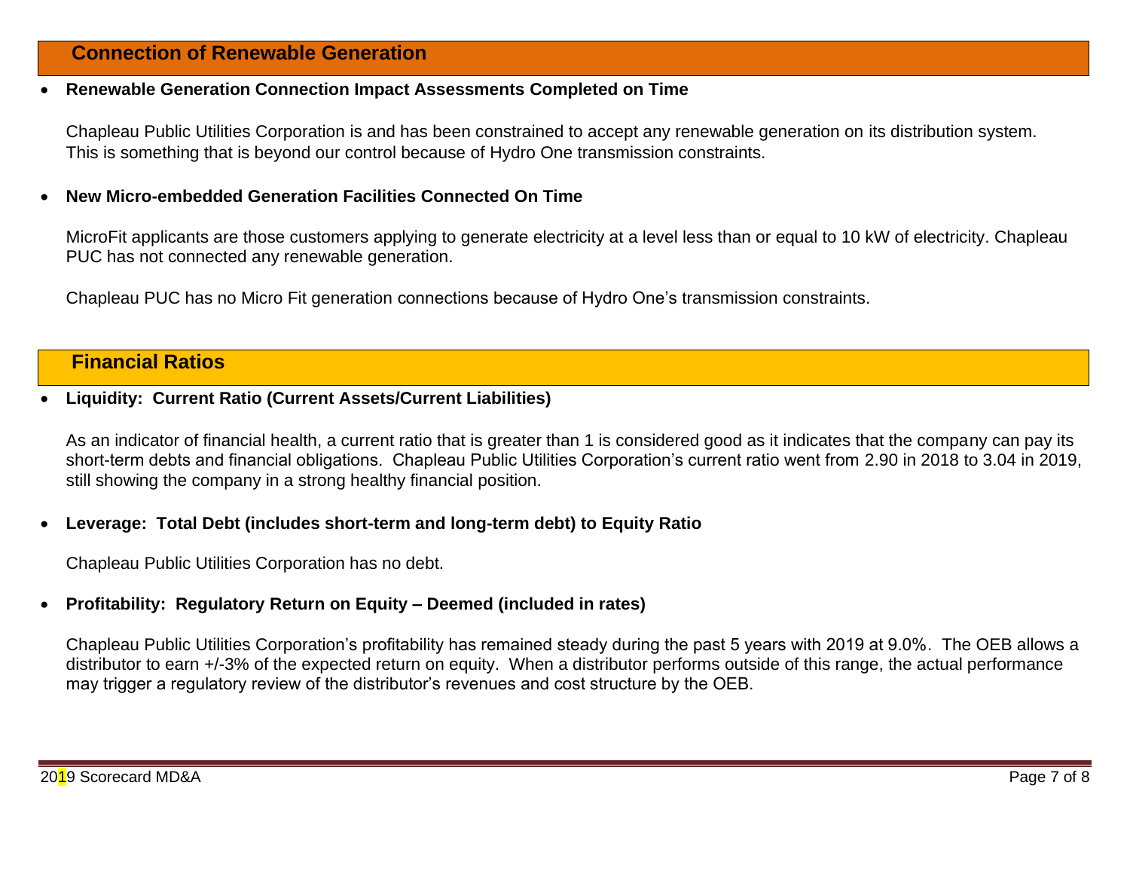## **Connection of Renewable Generation**

#### • **Renewable Generation Connection Impact Assessments Completed on Time**

Chapleau Public Utilities Corporation is and has been constrained to accept any renewable generation on its distribution system. This is something that is beyond our control because of Hydro One transmission constraints.

#### • **New Micro-embedded Generation Facilities Connected On Time**

MicroFit applicants are those customers applying to generate electricity at a level less than or equal to 10 kW of electricity. Chapleau PUC has not connected any renewable generation.

Chapleau PUC has no Micro Fit generation connections because of Hydro One's transmission constraints.

## **Financial Ratios**

#### • **Liquidity: Current Ratio (Current Assets/Current Liabilities)**

As an indicator of financial health, a current ratio that is greater than 1 is considered good as it indicates that the company can pay its short-term debts and financial obligations. Chapleau Public Utilities Corporation's current ratio went from 2.90 in 2018 to 3.04 in 2019, still showing the company in a strong healthy financial position.

#### • **Leverage: Total Debt (includes short-term and long-term debt) to Equity Ratio**

Chapleau Public Utilities Corporation has no debt.

#### • **Profitability: Regulatory Return on Equity – Deemed (included in rates)**

Chapleau Public Utilities Corporation's profitability has remained steady during the past 5 years with 2019 at 9.0%. The OEB allows a distributor to earn +/-3% of the expected return on equity. When a distributor performs outside of this range, the actual performance may trigger a regulatory review of the distributor's revenues and cost structure by the OEB.